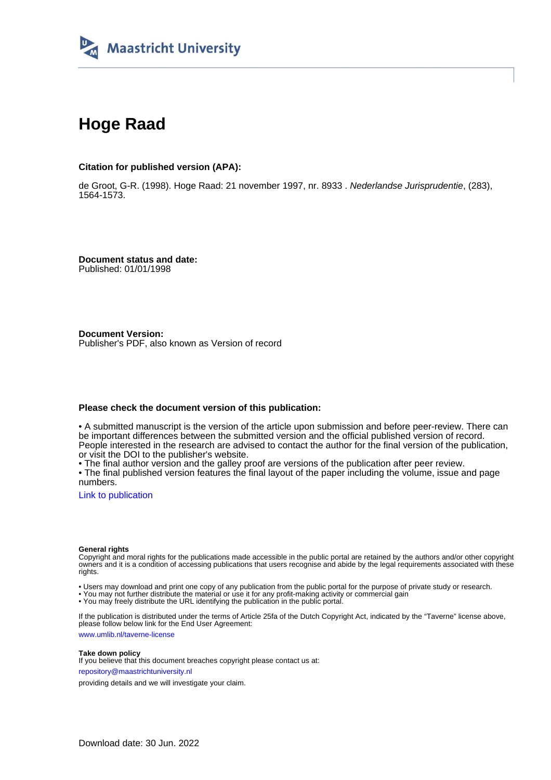

# **Hoge Raad**

# **Citation for published version (APA):**

de Groot, G-R. (1998). Hoge Raad: 21 november 1997, nr. 8933 . Nederlandse Jurisprudentie, (283), 1564-1573.

**Document status and date:** Published: 01/01/1998

**Document Version:** Publisher's PDF, also known as Version of record

# **Please check the document version of this publication:**

• A submitted manuscript is the version of the article upon submission and before peer-review. There can be important differences between the submitted version and the official published version of record. People interested in the research are advised to contact the author for the final version of the publication, or visit the DOI to the publisher's website.

• The final author version and the galley proof are versions of the publication after peer review.

• The final published version features the final layout of the paper including the volume, issue and page numbers.

[Link to publication](https://cris.maastrichtuniversity.nl/en/publications/7b46ecb8-2272-41b4-994c-109bd5976119)

# **General rights**

Copyright and moral rights for the publications made accessible in the public portal are retained by the authors and/or other copyright owners and it is a condition of accessing publications that users recognise and abide by the legal requirements associated with these rights.

• Users may download and print one copy of any publication from the public portal for the purpose of private study or research.

• You may not further distribute the material or use it for any profit-making activity or commercial gain

• You may freely distribute the URL identifying the publication in the public portal.

If the publication is distributed under the terms of Article 25fa of the Dutch Copyright Act, indicated by the "Taverne" license above, please follow below link for the End User Agreement:

www.umlib.nl/taverne-license

# **Take down policy**

If you believe that this document breaches copyright please contact us at: repository@maastrichtuniversity.nl

providing details and we will investigate your claim.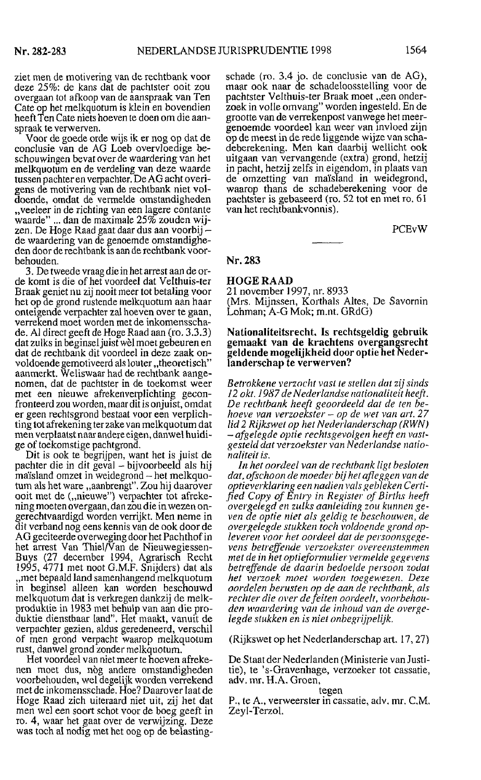ziet men de motivering van de rechtbank voor deze 25%: de kans dat de pachtster ooit zou overgaan tot afkoop van de aanspraak van Ten Cate op het melkquotum is klein en bovendien heeft Ten Cate niets hoeven te doen om die aanspraak te verwerven.

Voor de goede orde wijs ik er nog op dat de conclusie van de AG Loeb overvloedige beschouwingen bevat over de waardering van het melkquotum en de verdeling van deze waarde tussen pachter en verpachter. De AG acht overigens de motivering van de rechtbank niet voldoende, omdat de vermelde omstandigheden "veeleer in de richting van een lagere contante waarde" ... dan de maximale 25% zouden wijzen. De Hoge Raad gaat daar dus aan voorbij – de waardering van de genoemde omstandigheden door de rechtbank is aan de rechtbank voorbehouden.

3. De tweede vraag die in het arrest aan de orde komt is die of het voordeel dat Velthuis-ter Braak geniet nu zij nooit meer tot betaling voor het op de grond rustende melkquotum aan haar onteigende verpachter zal hoeven over te gaan, verrekend moet worden met de inkomensschade. Al direct geeft de Hoge Raad aan (ro. 3.3.3) dat zulks in beginsel juist wèl moet gebeuren en dat de rechtbank dit voordeel in deze zaak onvoldoende gemotiveerd als louter "theoretisch" aanmerkt. Weliswaar had de rechtbank aangenomen, dat de pachtster in de toekomst weer met een nieuwe afrekenverplichting geconfronteerd zou worden, maar dit is onjuist, omdat er geen rechtsgrond bestaat voor een verplichting tot afrekening ter zake van melkquotum dat men verplaatst naar andere eigen, danwel huidige of toekomstige pachtgrond.

Dit is ook te begrijpen, want het is juist de pachter die in dit geval – bijvoorbeeld als hij maïsland omzet in weidegrond – het melkquotum als het ware "aanbrengt". Zou hij daarover ooit met de ("nieuwe") verpachter tot afrekening moeten overgaan, dan zou die in wezen ongerechtvaardigd worden verrijkt. Men neme in dit verband nog eens kennis van de ook door de AG geciteerde overweging door het Pachthof in het arrest Van Thiel/Van de Nieuwegiessen-Buys (27 december 1994, Agrarisch Recht<br>1995, 4771 met noot G.M.F. Snijders) dat als "met bepaald land samenhangend melkquotum in beginsel alleen kan worden beschouwd melkquotum dat is verkregen dankzij de melkproduktie in 1983 met behulp van aan die produktie dienstbaar land". Het maakt, vanuit de verpachter gezien, aldus geredeneerd, verschil of men grond verpacht waarop melkquotum rust, danwel grond zonder melkquotum.

Het voordeel van niet meer te hoeven afrekenen moet dus, nòg andere omstandigheden voorbehouden, wel degelijk worden verrekend met de inkomensschade. Hoe? Daarover laat de Hoge Raad zich uiteraard niet uit, zij het dat men wel een soort schot voor de boeg geeft in ro. 4, waar het gaat over de verwijzing. Deze was toch al nodig met het oog op de belasting-

schade (ro. 3.4 jo. de conclusie van de AG), maar ook naar de schadeloosstelling voor de pachtster Velthuis-ter Braak moet "een onderzoek in volle omvang" worden ingesteld. En de grootte van de verrekenpost vanwege het meergenoemde voordeel kan weer van invloed zijn op de meest in de rede liggende wijze van schadeberekening. Men kan daarbij wellicht ook uitgaan van vervangende (extra) grond, hetzij in pacht, hetzij zelfs in eigendom, in plaats van de omzetting van maïsland in weidegrond, waarop thans de schadeberekening voor de pachtster is gebaseerd (ro. 52 tot en met ro. 61 van het rechtbankvonnis).

**PCE<sub>v</sub>W** 

### Nr. 283

**HOGE RAAD** 

21 november 1997, nr. 8933 (Mrs. Mijnssen, Korthals Altes, De Savornin Lohman; A-G Mok; m.nt. GRdG)

#### Nationaliteitsrecht. Is rechtsgeldig gebruik gemaakt van de krachtens overgangsrecht geldende mogelijkheid door optie het Nederlanderschap te verwerven?

Betrokkene verzocht vast te stellen dat zij sinds 12 okt. 1987 de Nederlandse nationaliteit heeft. De rechtbank heeft geoordeeld dat de ten behoeve van verzoekster – op de wet van art. 27 lid 2 Rijkswet op het Nederlanderschap (RWN) -afgelegde optie rechtsgevolgen heeft en vastgesteld dat verzoekster van Nederlandse nationaliteit is.

In het oordeel van de rechtbank ligt besloten dat, ofschoon de moeder bij het afleggen van de optieverklaring een nadien vals gebleken Certified Copy of Entry in Register of Births heeft overgelegd en zulks aanleiding zou kunnen geven de optie niet als geldig te beschouwen, de overgelegde stukken toch voldoende grond opleveren voor het oordeel dat de persoonsgegevens betreffende verzoekster overeenstemmen met de in het optieformulier vermelde gegevens betreffende de daarin bedoelde persoon zodat het verzoek moet worden toegewezen. Deze oordelen berusten op de aan de rechtbank, als<br>rechter die over de feiten oordeelt, voorbehouden waardering van de inhoud van de overgelegde stukken en is niet onbegrijpelijk.

#### (Rijkswet op het Nederlanderschap art. 17, 27)

De Staat der Nederlanden (Ministerie van Justitie), te 's-Gravenhage, verzoeker tot cassatie, adv. mr. H.A. Groen,

# tegen

P., te A., verweerster in cassatie, adv. mr. C.M. Zeyl-Terzol.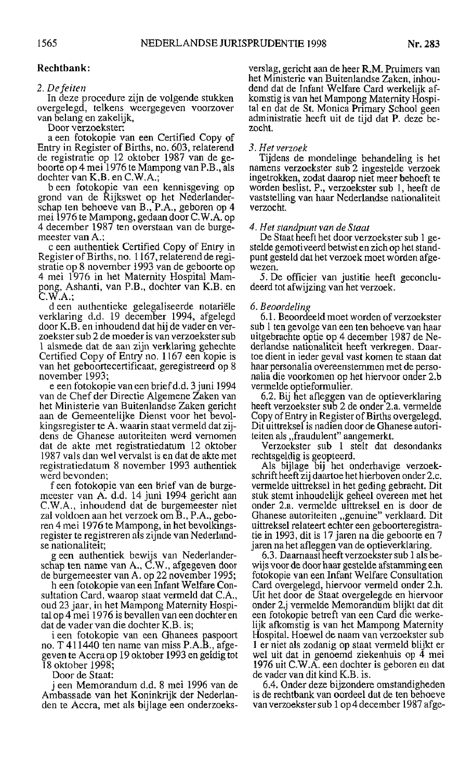# **Rechtbank:**

# 2. De feiten

In deze procedure zijn de volgende stukken overgelegd, telkens weergegeven voorzover van belang en zakelijk,

Door verzoekster:

a een fotokopie van een Certified Copy of Entry in Register of Births, no. 603, relaterend de registratie op 12 oktober 1987 van de geboorte op 4 mei 1976 te Mampong van P.B., als dochter van K.B. en C.W.A.;

b een fotokopie van een kennisgeving op grond van de Rijkswet op het Nederlanderschap ten behoeve van B., P.A., geboren op 4 mei 1976 te Mampong, gedaan door C.W.A. op 4 december 1987 ten overstaan van de burgemeester van A.;

c een authentiek Certified Copy of Entry in Register of Births, no. 1167, relaterend de registratie op 8 november 1993 van de geboorte op 4 mei 1976 in het Maternity Hospital Mampong, Ashanti, van P.B., dochter van K.B. en C.W.A.;

d een authentieke gelegaliseerde notariële verklaring d.d. 19 december 1994, afgelegd door K.B. en inhoudend dat hij de vader en verzoekster sub 2 de moeder is van verzoekster sub 1 alsmede dat de aan zijn verklaring gehechte Certified Copy of Entry no. 1167 een kopie is van het geboortecertificaat, geregistreerd op 8 november 1993;

e een fotokopie van een brief d.d. 3 juni 1994 van de Chef der Directie Algemene Zaken van het Ministerie van Buitenlandse Zaken gericht aan de Gemeentelijke Dienst voor het bevolkingsregister te A. waarin staat vermeld dat zijdens de Ghanese autoriteiten werd vernomen dat de akte met registratiedatum 12 oktober 1987 vals dan wel vervalst is en dat de akte met registratiedatum 8 november 1993 authentiek werd bevonden;

f een fotokopie van een brief van de burgemeester van A. d.d. 14 juni 1994 gericht aan C.W.A., inhoudend dat de burgemeester niet zal voldoen aan het verzoek om B., P.A., geboren 4 mei 1976 te Mampong, in het bevolkingsregister te registreren als zijnde van Nederlandse nationaliteit;

g een authentiek bewijs van Nederlanderschap ten name van A., C.W., afgegeven door de burgemeester van A. op 22 november 1995;

h een fotokopie van een Infant Welfare Consultation Card, waarop staat vermeld dat C.A., oud 23 jaar, in het Mampong Maternity Hospital op 4 mei 1976 is bevallen van een dochter en dat de vader van die dochter K.B. is;

i een fotokopie van een Ghanees paspoort<br>no. T 411440 ten name van miss P.A.B., afgegeven te Accra op 19 oktober 1993 en geldig tot 18 oktober 1998;

Door de Staat:

j een Memorandum d.d. 8 mei 1996 van de Ambassade van het Koninkrijk der Nederlanden te Accra, met als bijlage een onderzoeks-

verslag, gericht aan de heer R.M. Pruimers van het Ministerie van Buitenlandse Zaken, inhoudend dat de Infant Welfare Card werkelijk afkomstig is van het Mampong Maternity Hospital en dat de St. Monica Primary School geen administratie heeft uit de tijd dat P. deze bezocht.

## 3. Het verzoek

Tijdens de mondelinge behandeling is het namens verzoekster sub 2 ingestelde verzoek ingetrokken, zodat daarop niet meer behoeft te worden beslist. P., verzoekster sub 1, heeft de vaststelling van haar Nederlandse nationaliteit verzocht.

# 4. Het standpunt van de Staat

De Staat heeft het door verzoekster sub 1 gestelde gemotiveerd betwist en zich op het standpunt gesteld dat het verzoek moet worden afgewezen.

5. De officier van justitie heeft geconcludeerd tot afwijzing van het verzoek.

# 6. Beoordeling

6.1. Beoordeeld moet worden of verzoekster sub 1 ten gevolge van een ten behoeve van haar uitgebrachte optie op 4 december 1987 de Nederlandse nationaliteit heeft verkregen. Daartoe dient in ieder geval vast komen te staan dat haar personalia overeenstemmen met de personalia die voorkomen op het hiervoor onder 2.b vermelde optieformulier.

6.2. Bij het afleggen van de optieverklaring heeft verzoekster sub 2 de onder 2.a. vermelde Copy of Entry in Register of Births overgelegd. Dit uittreksel is nadien door de Ghanese autoriteiten als "fraudulent" aangemerkt.<br>Verzoekster sub 1 stelt dat desondanks

rechtsgeldig is geopteerd.

Als bijlage bij het onderhavige verzoekschrift heeft zij daartoe het hierboven onder 2.c. vermelde uittreksel in het geding gebracht. Dit stuk stemt inhoudelijk geheel overeen met het onder 2.a. vermelde uittreksel en is door de Ghanese autoriteiten "genuine" verklaard. Dit uittreksel relateert echter een geboorteregistratie in 1993, dit is 17 jaren na die geboorte en 7 jaren na het afleggen van de optieverklaring.

6.3. Daarnaast heeft verzoekster sub 1 als bewijs voor de door haar gestelde afstamming een fotokopie van een Infant Welfare Consultation Card overgelegd, hiervoor vermeld onder 2.h. Uit het door de Staat overgelegde en hiervoor onder 2.j vermelde Memorandum blijkt dat dit een fotokopie betreft van een Card die werkelijk afkomstig is van het Mampong Maternity Hospital. Hoewel de naam van verzoekster sub 1 er niet als zodanig op staat vermeld blijkt er wel uit dat in genoemd ziekenhuis op 4 mei<br>1976 uit C.W.A. een dochter is geboren en dat de vader van dit kind K.B. is.

6.4. Onder deze bijzondere omstandigheden is de rechtbank van oordeel dat de ten behoeve van verzoekster sub 1 op 4 december 1987 afge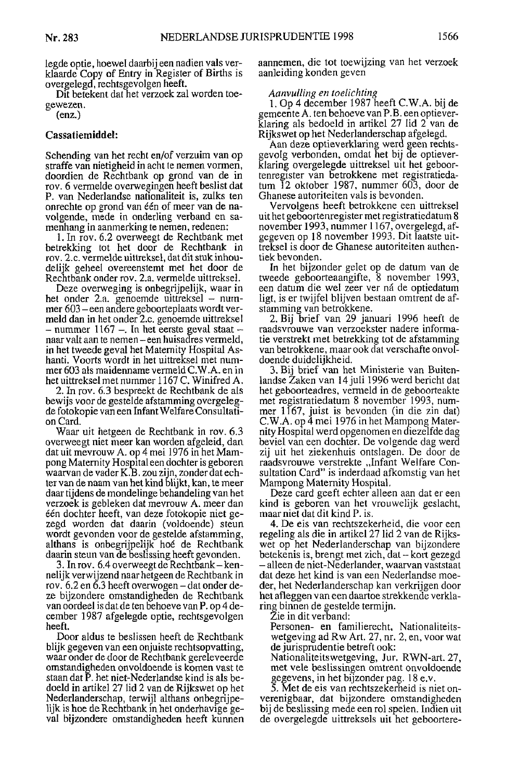legde optie, hoewel daarbij een nadien vals verklaarde Copy of Entry in Register of Births is overgelegd, rechtsgevolgen heeft.

Dit betekent dat het verzoek zal worden toegewezen.

 $(enz.)$ 

# Cassatiemiddel:

Schending van het recht en/of verzuim van op straffe van nietigheid in acht te nemen vormen, doordien de Rechtbank op grond van de in rov. 6 vermelde overwegingen heeft beslist dat P. van Nederlandse nationaliteit is, zulks ten onrechte op grond van één of meer van de navolgende, mede in onderling verband en samenhang in aanmerking te nemen, redenen:

1. In rov. 6.2 overweegt de Rechtbank met betrekking tot het door de Rechtbank in rov. 2.c. vermelde uittreksel, dat dit stuk inhoudelijk geheel overeenstemt met het door de Rechtbank onder rov. 2.a. vermelde uittreksel.

Deze overweging is onbegrijpelijk, waar in het onder 2.a. genoemde uittreksel – nummer 603 – een andere geboorteplaats wordt vermeld dan in het onder 2.c. genoemde uittreksel – nummer 1167 –. In het eerste geval staat – naar valt aan te nemen – een huisadres vermeld, in het tweede geval het Maternity Hospital Ashanti. Voorts wordt in het uittreksel met nummer 603 als maidenname vermeld C.W.A. en in het uittreksel met nummer 1167 C. Winifred A.

2. In rov. 6.3 bespreekt de Rechtbank de als bewijs voor de gestelde afstamming overgelegde fotokopie van een Infant Welfare Consultation Card.

Waar uit hetgeen de Rechtbank in rov. 6.3 overweegt niet meer kan worden afgeleid, dan dat uit mevrouw A. op 4 mei 1976 in het Mampong Maternity Hospital een dochter is geboren<br>waarvan de vader K.B. zou zijn, zonder dat echter van de naam van het kind blijkt, kan, te meer daar tijdens de mondelinge behandeling van het verzoek is gebleken dat mevrouw A. meer dan één dochter heeft, van deze fotokopie niet gezegd worden dat daarin (voldoende) steun wordt gevonden voor de gestelde afstamming, althans is onbegrijpelijk hoé de Rechtbank daarin steun van de beslissing heeft gevonden.

3. In rov. 6.4 overweegt de Rechtbank – kennelijk verwijzend naar hetgeen de Rechtbank in rov. 6.2 en 6.3 heeft overwogen – dat onder deze bijzondere omstandigheden de Rechtbank van oordeel is dat de ten behoeve van P. op 4 december 1987 afgelegde optie, rechtsgevolgen heeft.

Door aldus te beslissen heeft de Rechtbank blijk gegeven van een onjuiste rechtsopvatting, waar onder de door de Rechtbank gereleveerde omstandigheden onvoldoende is komen vast te staan dat P. het niet-Nederlandse kind is als bedoeld in artikel 27 lid 2 van de Rijkswet op het Nederlanderschap, terwijl althans onbegrijpelijk is hoe de Rechtbank in het onderhavige geval bijzondere omstandigheden heeft kunnen aannemen, die tot toewijzing van het verzoek aanleiding konden geven

# Aanvulling en toelichting

1. Op 4 december 1987 heeft C.W.A. bij de gemeente A. ten behoeve van P.B. een optieverklaring als bedoeld in artikel 27 lid 2 van de Rijkswet op het Nederlanderschap afgelegd.

Aan deze optieverklaring werd geen rechtsgevolg verbonden, omdat het bij de optieverklaring overgelegde uittreksel uit het geboortenregister van betrokkene met registratiedatum  $\overline{1}2$  oktober 1987, nummer 603, door de Ghanese autoriteiten vals is bevonden.

Vervolgens heeft betrokkene een uittreksel uit het geboortenregister met registratiedatum 8 november 1993, nummer 1167, overgelegd, afgegeven op 18 november 1993. Dit laatste uittreksel is door de Ghanese autoriteiten authentiek bevonden.

In het bijzonder gelet op de datum van de tweede geboorteaangifte, 8 november 1993, een datum die wel zeer ver ná de optiedatum ligt, is er twijfel blijven bestaan omtrent de afstamming van betrokkene.

2. Bij brief van 29 januari 1996 heeft de raadsvrouwe van verzoekster nadere informatie verstrekt met betrekking tot de afstamming van betrokkene, maar ook dat verschafte onvoldoende duidelijkheid.

3. Bij brief van het Ministerie van Buitenlandse Zaken van 14 juli 1996 werd bericht dat het geboorteadres, vermeld in de geboorteakte met registratiedatum 8 november 1993, nummer 1167, juist is bevonden (in die zin dat)<br>C.W.A. op 4 mei 1976 in het Mampong Maternity Hospital werd opgenomen en diezelfde dag beviel van een dochter. De volgende dag werd zij uit het ziekenhuis ontslagen. De door de raadsvrouwe verstrekte "Infant Welfare Consultation Card" is inderdaad afkomstig van het Mampong Maternity Hospital.

Deze card geeft echter alleen aan dat er een kind is geboren van het vrouwelijk geslacht, maar niet dat dit kind P. is.

4. De eis van rechtszekerheid, die voor een regeling als die in artikel 27 lid 2 van de Rijkswet op het Nederlanderschap van bijzondere betekenis is, brengt met zich, dat – kort gezegd - alleen de niet-Nederlander, waarvan vaststaat dat deze het kind is van een Nederlandse moeder, het Nederlanderschap kan verkrijgen door het afleggen van een daartoe strekkende verklaring binnen de gestelde termijn.

Zie in dit verband:

Personen- en familierecht, Nationaliteitswetgeving ad Rw Art. 27, nr. 2, en, voor wat de jurisprudentie betreft ook:

Nationaliteitswetgeving, Jur. RWN-art. 27, met vele beslissingen omtrent onvoldoende gegevens, in het bijzonder pag. 18 e.v.

5. Met de eis van rechtszekerheid is niet onverenigbaar, dat bijzondere omstandigheden bij de beslissing mede een rol spelen. Indien uit de overgelegde uittreksels uit het geboortere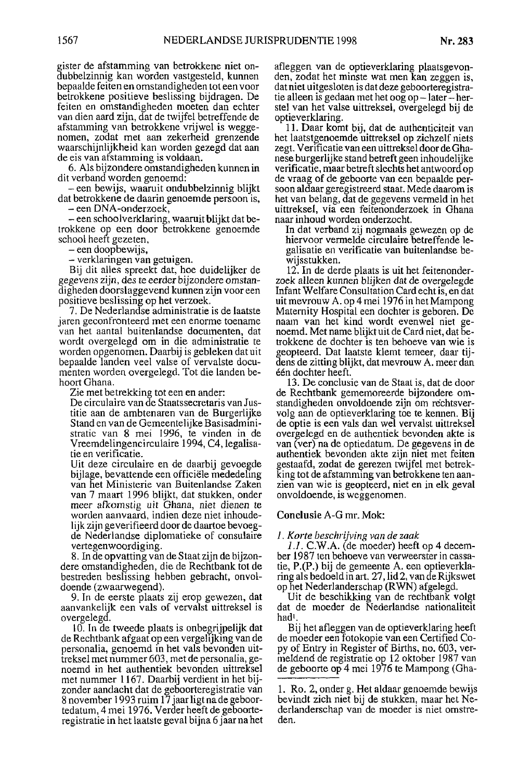gister de afstamming van betrokkene niet ondubbelzinnig kan worden vastgesteld, kunnen bepaalde feiten en omstandigheden tot een voor betrokkene positieve beslissing bijdragen. De feiten en omstandigheden moeten dan echter van dien aard zijn, dat de twijfel betreffende de afstamming van betrokkene vrijwel is weggenomen, zodat met aan zekerheid grenzende waarschijnlijkheid kan worden gezegd dat aan de eis van afstamming is voldaan.

6. Als bijzondere omstandigheden kunnen in dit verband worden genoemd:

een bewijs, waaruit ondubbelzinnig blijkt dat betrokkene de daarin genoemde persoon is,

- een DNA-onderzoek,

– een schoolverklaring, waaruit blijkt dat betrokkene op een door betrokkene genoemde school heeft gezeten,

- een doopbewijs,

- verklaringen van getuigen.

Bij dit alles spreekt dat, hoe duidelijker de gegevens zijn, des te eerder bijzondere omstandigheden doorslaggevend kunnen zijn voor een positieve beslissing op het verzoek.

7. De Nederlandse administratie is de laatste jaren geconfronteerd met een enorme toename van het aantal buitenlandse documenten, dat wordt overgelegd om in die administratie te worden opgenomen. Daarbij is gebleken dat uit bepaalde landen veel valse of vervalste documenten worden overgelegd. Tot die landen behoort Ghana.

Zie met betrekking tot een en ander:

De circulaire van de Staatssecretaris van Justitie aan de ambtenaren van de Burgerlijke Stand en van de Gemeentelijke Basisadministratic van 8 mei 1996, te vinden in de Vreemdelingencirculaire 1994, C4, legalisatie en verificatie.

Uit deze circulaire en de daarbij gevoegde bijlage, bevattende een officiële mededeling van het Ministerie van Buitenlandse Zaken van 7 maart 1996 blijkt, dat stukken, onder meer afkomstig uit Ghana, niet dienen te worden aanvaard, indien deze niet inhoudelijk zijn geverifieerd door de daartoe bevoegde Nederlandse diplomatieke of consulaire vertegenwoordiging.

8. In de opvatting van de Staat zijn de bijzondere omstandigheden, die de Rechtbank tot de bestreden beslissing hebben gebracht, onvoldoende (zwaarwegend).

9. In de eerste plaats zij erop gewezen, dat aanvankelijk een vals of vervalst uittreksel is overgelegd.

10. In de tweede plaats is onbegrijpelijk dat de Rechtbank afgaat op een vergelijking van de personalia, genoemd in het vals bevonden uittreksel met nummer 603, met de personalia, genoemd in het authentiek bevonden uittreksel met nummer 1167. Daarbij verdient in het bijzonder aandacht dat de geboorteregistratie van 8 november 1993 ruim 17 jaar ligt na de geboortedatum, 4 mei 1976. Verder heeft de geboorteregistratie in het laatste geval bijna 6 jaar na het afleggen van de optieverklaring plaatsgevonden, zodat het minste wat men kan zeggen is, dat niet uitgesloten is dat deze geboorteregistratie alleen is gedaan met het oog op-later-herstel van het valse uittreksel, overgelegd bij de optieverklaring.

11. Daar komt bij, dat de authenticiteit van het laatstgenoemde uittreksel op zichzelf niets zegt. Verificatie van een uittreksel door de Ghanese burgerlijke stand betreft geen inhoudelijke verificatie, maar betreft slechts het antwoord op de vraag of de geboorte van een bepaalde persoon aldaar geregistreerd staat. Mede daarom is het van belang, dat de gegevens vermeld in het uittreksel, via een feitenonderzoek in Ghana naar inhoud worden onderzocht.

In dat verband zij nogmaals gewezen op de hiervoor vermelde circulaire betreffende legalisatie en verificatie van buitenlandse bewijsstukken.

12. In de derde plaats is uit het feitenonderzoek alleen kunnen blijken dat de overgelegde Infant Welfare Consultation Card echt is, en dat uit mevrouw A. op 4 mei 1976 in het Mampong Maternity Hospital een dochter is geboren. De naam van het kind wordt evenwel niet genoemd. Met name blijkt uit de Card niet, dat betrokkene de dochter is ten behoeve van wie is geopteerd. Dat laatste klemt temeer, daar tijdens de zitting blijkt, dat mevrouw A. meer dan één dochter heeft.

13. De conclusie van de Staat is, dat de door de Rechtbank gememoreerde bijzondere omstandigheden onvoldoende zijn om rechtsvervolg aan de optieverklaring toe te kennen. Bij de optie is een vals dan wel vervalst uittreksel overgelegd en de authentiek bevonden akte is van (ver) na de optiedatum. De gegevens in de authentiek bevonden akte zijn niet met feiten gestaafd, zodat de gerezen twijfel met betrekking tot de afstamming van betrokkene ten aanzien van wie is geopteerd, niet en in elk geval onvoldoende, is weggenomen.

# Conclusie A-G mr. Mok:

#### 1. Korte beschrijving van de zaak

1.1. C.W.A. (de moeder) heeft op 4 december 1987 ten behoeve van verweerster in cassatie, P.(P.) bij de gemeente A. een optieverklaring als bedoeld in art. 27, lid 2, van de Rijkswet op het Nederlanderschap (RWN) afgelegd.

Uit de beschikking van de rechtbank volgt dat de moeder de Nederlandse nationaliteit hadl

Bij het afleggen van de optieverklaring heeft de moeder een fotokopie van een Certified Copy of Entry in Register of Births, no. 603, vermeldend de registratie op 12 oktober 1987 van de geboorte op 4 mei 1976 te Mampong (Gha-

<sup>1.</sup> Ro. 2, onder g. Het aldaar genoemde bewijs bevindt zich niet bij de stukken, maar het Nederlanderschap van de moeder is niet omstreden.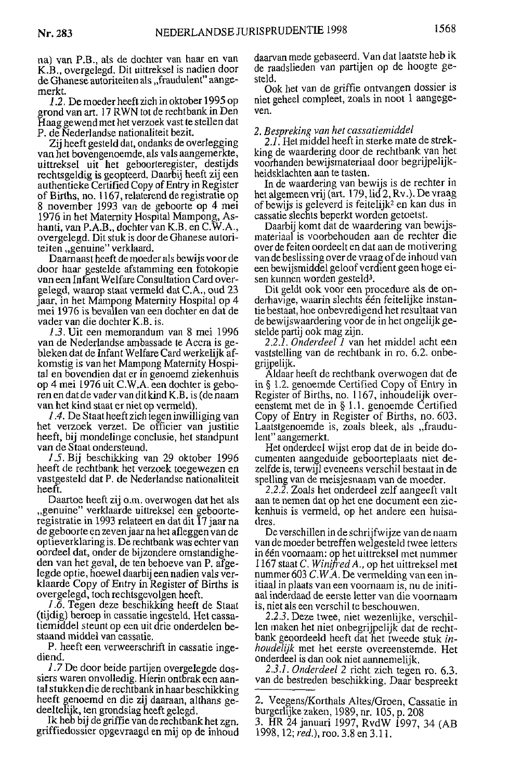na) yan P.B., als de dochter van haar en van K.B., overgelegd. Dit uittreksel is nadien door de Ghanese autoriteiten als "fraudulent" aangemerkt.

1.2. De moeder heeft zich in oktober 1995 op grond van art. 17 RWN tot de rechtbank in Den Haag gewend met het verzoek vast te stellen dat P. de Nederlandse nationaliteit bezit.

Zij heeft gesteld dat, ondanks de overlegging van het bovengenoemde, als vals aangemerkte, uittreksel uit het geboorteregister, destijds rechtsgeldig is geopteerd. Daarbij heeft zij een authentieke Certified Copy of Entry in Register of Births, no. 1167, relaterend de registratie op 8 november 1993 van de geboorte op 4 mei 1976 in het Maternity Hospital Mampong, Ashanti, van P.A.B., dochter van K.B. en C.W.A., overgelegd. Dit stuk is door de Ghanese autoriteiten "genuine" verklaard.

Daarnaast heeft de moeder als bewijs voor de door haar gestelde afstamming een fotokopie van een Infant Welfare Consultation Card overgelegd, waarop staat vermeld dat C.A., oud 23 jaar, in het Mampong Maternity Hospital op 4 mei 1976 is bevallen van een dochter en dat de vader van die dochter K.B. is.

1.3. Uit een memorandum van 8 mei 1996 van de Nederlandse ambassade te Accra is gebleken dat de Infant Welfare Card werkelijk afkomstig is van het Mampong Maternity Hospital en bovendien dat er in genoemd ziekenhuis op 4 mei 1976 uit C.W.A. een dochter is geboren en dat de vader van dit kind K.B. is (de naam van het kind staat er niet op vermeld)

1.4. De Staat heeft zich legen inwilliging van het verzoek verzet. De officier van justitie heeft, bij mondelinge conclusie, het standpunt van de Staat ondersteund.

1.5. Bij beschikking van 29 oktober 1996 heeft de rechtbank het verzoek toegewezen en vastgesteld dat P. de Nederlandse nationaliteit heeft.

Daartoe heeft zij o.m. overwogen dat het als "genuine" verklaarde uittreksel een geboorteregistratie in 1993 relateert en dat dit 17 jaar na de geboorte en zeven jaar na het afleggen van de optieverklaring is. De rechtbank was echter van oordeel dat, onder de bijzondere omstandigheden van het geval, de ten behoeve van P. afgelegde optie, hoewel daarbij een nadien vals verklaarde Copy of Entry in Register of Births is overgelegd, toch rechtsgevolgen heeft.

1.6. Tegen deze beschikking heeft de Staat (tijdig) beroep in cassatie ingesteld. Het cassatiemiddel steunt op een uit drie onderdelen bestaand middel van cassatie.

P. heeft een verweerschrift in cassatie ingediend.

1.7 De door beide partijen overgelegde dossiers waren onvolledig. Hierin ontbrak een aantal stukken die de rechtbank in haar beschikking heeft genoemd en die zij daaraan, althans gedeeltelijk, ten grondslag heeft gelegd.

Ik heb bij de griffie van de rechtbank het zgn. griffiedossier opgevraagd en mij op de inhoud daarvan mede gebaseerd. Van dat laatste heb ik de raadslieden van partijen op de hoogte gesteld.

Ook het van de griffie ontvangen dossier is niet geheel compleet, zoals in noot 1 aangegeven.

# 2. Bespreking van het cassatiemiddel

2.1. Het middel heeft in sterke mate de strekking de waardering door de rechtbank van het voorhanden bewijsmateriaal door begrijpelijkheidsklachten aan te tasten.

In de waardering van bewijs is de rechter in het algemeen vrij (art. 179, lid 2, Rv.). De vraag of bewijs is geleverd is feitelijk<sup>2</sup> en kan dus in cassatie slechts beperkt worden getoetst.

Daarbij komt dat de waardering van bewijsmateriaal is voorbehouden aan de rechter die over de feiten oordeelt en dat aan de motivering van de beslissing over de vraag of de inhoud van een bewijsmiddel geloof verdient geen hoge eisen kunnen worden gesteld<sup>3</sup>.

Dit geldt ook voor een procedure als de onderhavige, waarin slechts een feitelijke instantie bestaat, hoe onbevredigend het resultaat van de bewijswaardering voor de in het ongelijk gestelde partij ook mag zijn.

2.2.1. Onderdeel 1 van het middel acht een vaststelling van de rechtbank in ro. 6.2. onbegrijpelijk.

Aldaar heeft de rechtbank overwogen dat de in  $\S 1.2$  genoemde Certified Copy of Entry in Register of Births, no. 1167, inhoudelijk overeenstemt met de in § 1.1. genoemde Certified Copy of Entry in Register of Births, no. 603. Laatstgenoemde is, zoals bleek, als "fraudulent" aangemerkt.

Het onderdeel wijst erop dat de in beide documenten aangeduide geboorteplaats niet dezelfde is, terwijl eveneens verschil bestaat in de spelling van de meisjesnaam van de moeder.

2.2.2. Zoals het onderdeel zelf aangeeft valt aan te nemen dat op het ene document een ziekenhuis is vermeld, op het andere een huisadres.

De verschillen in de schrijfwijze van de naam van de moeder betreffen welgesteld twee letters in één voornaam: op het uittreksel met nummer 1167 staat C. Winifred A., op het uittreksel met nummer 603 C.W.A. De vermelding van een initiaal in plaats van een voornaam is, nu de initiaal inderdaad de eerste letter van die voornaam is, niet als een verschil te beschouwen.

2.2.3. Deze twee, niet wezenlijke, verschillen maken het niet onbegrijpelijk dat de rechtbank geoordeeld heeft dat het tweede stuk inhoudelijk met het eerste overeenstemde. Het onderdeel is dan ook niet aannemelijk.

2.3.1. Onderdeel 2 richt zich tegen ro. 6.3. van de bestreden beschikking. Daar bespreekt

<sup>2.</sup> Veegens/Korthals Altes/Groen, Cassatie in burgerlijke zaken, 1989, nr. 105, p. 208

<sup>3.</sup> HR 24 januari 1997, RvdW 1997, 34 (AB 1998, 12; *red.*), roo. 3.8 en 3.11.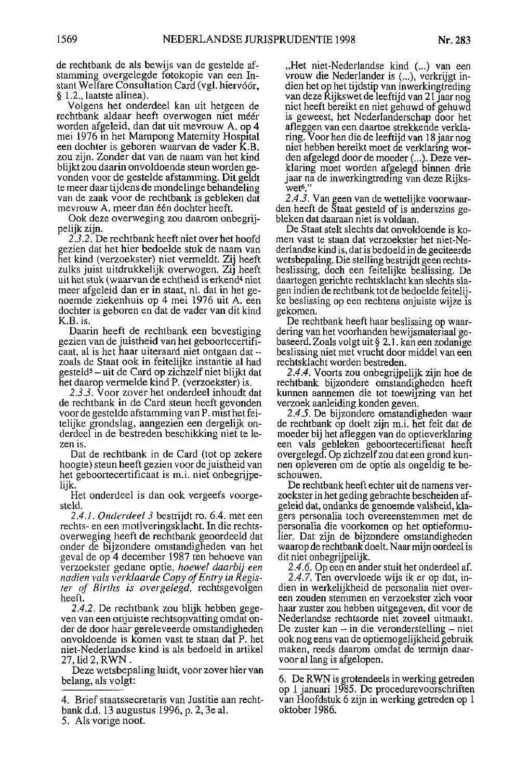de rechtbank de als bewijs van de gestelde afstamming overgelegde fotokopie van een Instant Welfare Consultation Card (vgl. hiervóór, § 1.2., laatste alinea).

Volgens het onderdeel kan uit hetgeen de rechtbank aldaar heeft overwogen niet méér worden afgeleid, dan dat uit mevrouw A, op 4 mei 1976 in het Mampong Maternity Hospital een dochter is geboren waarvan de vader K.B. zou zijn. Zonder dat van de naam van het kind blijkt zou daarin onvoldoende steun worden gevonden voor de gestelde afstamming. Dit geldt te meer daar tijdens de mondelinge behandeling van de zaak voor de rechtbank is gebleken dat mevrouw A. meer dan één dochter heeft.

Ook deze overweging zou daarom onbegrijpelijk zijn.

2.3.2. De rechtbank heeft niet over het hoofd gezien dat het hier bedoelde stuk de naam van het kind (verzoekster) niet vermeldt. Zij heeft zulks juist uitdrukkelijk overwogen. Zij heeft uit het stuk (waarvan de echtheid is erkend<sup>4</sup> niet meer afgeleid dan er in staat, nl. dat in het genoemde ziekenhuis op 4 mei 1976 uit A. een dochter is geboren en dat de vader van dit kind K.B. is.

Daarin heeft de rechtbank een bevestiging gezien van de juistheid van het geboortecertificaat, al is het haar uiteraard niet ontgaan dat zoals de Staat ook in feitelijke instantie al had gesteld<sup>5</sup> - uit de Card op zichzelf niet blijkt dat het daarop vermelde kind P. (verzoekster) is.

2.3.3. Voor zover het onderdeel inhoudt dat de rechtbank in de Card steun heeft gevonden voor de gestelde afstamming van P. mist het feitelijke grondslag, aangezien een dergelijk onderdeel in de bestreden beschikking niet te lezen is.

Dat de rechtbank in de Card (tot op zekere hoogte) steun heeft gezien voor de juistheid van het geboortecertificaat is m.i. niet onbegrijpelijk.

Het onderdeel is dan ook vergeefs voorgesteld.

2.4.1. Onderdeel 3 bestrijdt ro. 6.4. met een rechts- en een motiveringsklacht. In die rechtsoverweging heeft de rechtbank geoordeeld dat onder de bijzondere omstandigheden van het geval de op 4 december 1987 ten behoeve van verzoekster gedane optie, hoewel daarbij een nadien vals verklaarde Copy of Entry in Register of Births is overgelegd, rechtsgevolgen heeft

2.4.2. De rechtbank zou blijk hebben gegeven van een on juiste rechtsopvatting omdat onder de door haar gereleveerde omstandigheden onvoldoende is komen vast te staan dat P. het niet-Nederlandse kind is als bedoeld in artikel 27, lid 2, RWN

Deze wetsbepaling luidt, voor zover hier van belang, als volgt:

5. Als vorige noot.

"Het niet-Nederlandse kind (...) van een vrouw die Nederlander is (...), verkrijgt indien het op het tijdstip van inwerkingtreding van deze Rijkswet de leeftijd van 21 jaar nog niet heeft bereikt en niet gehuwd of gehuwd is geweest, het Nederlanderschap door het afleggen van een daartoe strekkende verklaring. Voor hen die de leeftijd van 18 jaar nog niet hebben bereikt moet de verklaring worden afgelegd door de moeder (...). Deze verklaring moet worden afgelegd binnen drie jaar na de inwerkingtreding van deze Rijkswet<sup>6</sup>.

2.4.3. Van geen van de wettelijke voorwaarden heeft de Staat gesteld of is anderszins gebleken dat daaraan niet is voldaan.

De Staat stelt slechts dat onvoldoende is komen vast te staan dat verzoekster het niet-Nederlandse kind is, dat is bedoeld in de geciteerde wetsbepaling. Die stelling bestrijdt geen rechtsbeslissing, doch een feitelijke beslissing. De daartegen gerichte rechtsklacht kan slechts slagen indien de rechtbank tot de bedoelde feitelijke beslissing op een rechtens onjuiste wijze is gekomen.

De rechtbank heeft haar beslissing op waardering van het voorhanden bewijsmateriaal gebaseerd. Zoals volgt uit § 2.1. kan een zodanige beslissing niet met vrucht door middel van een rechtsklacht worden bestreden.

2.4.4. Voorts zou onbegrijpelijk zijn hoe de rechtbank bijzondere omstandigheden heeft kunnen aannemen die tot toewijzing van het verzoek aanleiding konden geven.

2.4.5. De bijzondere omstandigheden waar de rechtbank op doelt zijn m.i. het feit dat de moeder bij het afleggen van de optieverklaring een vals gebleken geboortecertificaat heeft overgelegd. Op zichzelf zou dat een grond kunnen opleveren om de optie als ongeldig te beschouwen.

De rechtbank heeft echter uit de namens verzoekster in het geding gebrachte bescheiden afgeleid dat, ondanks de genoemde valsheid, klagers personalia toch overeenstemmen met de personalia die voorkomen op het optieformulier. Dat zijn de bijzondere omstandigheden waarop de rechtbank doelt. Naar mijn oordeel is dit niet onbegrijpelijk.

2.4.6. Op een en ander stuit het onderdeel af. 2.4.7. Ten overvloede wijs ik er op dat, indien in werkelijkheid de personalia niet overeen zouden stemmen en verzoekster zich voor haar zuster zou hebben uitgegeven, dit voor de Nederlandse rechtsorde niet zoveel uitmaakt. De zuster kan  $-$  in die veronderstelling  $-$  niet ook nog eens van de optiemogelijkheid gebruik maken, reeds daarom omdat de termijn daarvoor al lang is afgelopen.

<sup>4.</sup> Brief staatssecretaris van Justitie aan rechtbank d.d. 13 augustus 1996, p. 2, 3e al.

<sup>6.</sup> De RWN is grotendeels in werking getreden op 1 januari 1985. De procedurevoorschriften van Hoofdstuk 6 zijn in werking getreden op 1 oktober 1986.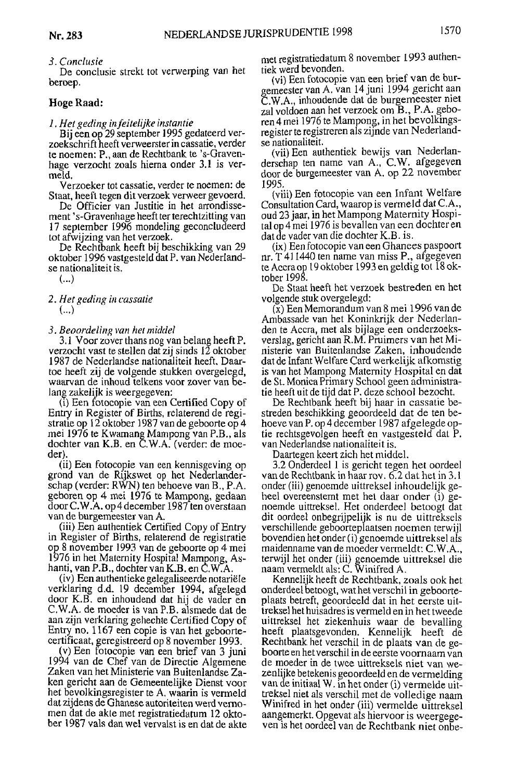#### 3. Conclusie

De conclusie strekt tot verwerping van het beroep.

# Hoge Raad:

1. Het geding in feitelijke instantie

Bij een op 29 september 1995 gedateerd verzoekschrift heeft verweerster in cassatie, verder te noemen: P., aan de Rechtbank te 's-Gravenhage verzocht zoals hierna onder 3.1 is vermeld.

Verzoeker tot cassatie, verder te noemen: de Staat, heeft tegen dit verzoek verweer gevoerd.

De Officier van Justitie in het arrondissement 's-Gravenhage heeft ter terechtzitting van 17 september 1996 mondeling geconcludeerd tot afwijzing van het verzoek.

De Rechtbank heeft bij beschikking van 29 oktober 1996 vastgesteld dat P. van Nederlandse nationaliteit is.

 $(...)$ 

2. Het geding in cassatie  $(...)$ 

# 3. Beoordeling van het middel

3.1 Voor zover thans nog van belang heeft P. verzocht vast te stellen dat zij sinds 12 oktober 1987 de Nederlandse nationaliteit heeft. Daartoe heeft zij de volgende stukken overgelegd, waarvan de inhoud telkens voor zover van belang zakelijk is weergegeven:

(i) Een fotocopie van een Certified Copy of Entry in Register of Births, relaterend de registratie op 12 oktober 1987 van de geboorte op 4 mei 1976 te Kwamang Mampong van P.B., als dochter van K.B. en C.W.A. (verder: de moeder).

(ii) Een fotocopie van een kennisgeving op grond van de Rijkswet op het Nederlanderschap (verder: RWN) ten behoeve van B., P.A. geboren op 4 mei 1976 te Mampong, gedaan door C.W.A. op 4 december 1987 ten overstaan van de burgemeester van A.

(iii) Een authentiek Certified Copy of Entry in Register of Births, relaterend de registratie op 8 november 1993 van de geboorte op 4 mei 1976 in het Maternity Hospital Mampong, Ashanti, van P.B., dochter van K.B. en C.W.A.

(iv) Een authentieke gelegaliseerde notariële verklaring d.d. 19 december 1994, afgelegd door K.B. en inhoudend dat hij de vader en C.W.A. de moeder is van P.B. alsmede dat de aan zijn verklaring gehechte Certified Copy of Entry no. 1167 een copie is van het geboortecertificaat, geregistreerd op 8 november 1993.

(v) Een fotocopie van een brief van 3 juni 1994 van de Chef van de Directie Algemene Zaken van het Ministerie van Buitenlandse Zaken gericht aan de Gemeentelijke Dienst voor het bevolkingsregister te A. waarin is vermeld dat zijdens de Ghanese autoriteiten werd vernomen dat de akte met registratiedatum 12 oktober 1987 vals dan wel vervalst is en dat de akte met registratiedatum 8 november 1993 authentiek werd bevonden.

(vi) Een fotocopie van een brief van de burgemeester van A. van 14 juni 1994 gericht aan C.W.A., inhoudende dat de burgemeester niet zal voldoen aan het verzoek om B., P.A. geboren 4 mei 1976 te Mampong, in het bevolkingsregister te registreren als zijnde van Nederlandse nationaliteit.

(vii) Een authentiek bewijs van Nederlanderschap ten name van A., C.W. afgegeven door de burgemeester van A. op 22 november 1995.

(viii) Een fotocopie van een Infant Welfare Consultation Card, waarop is vermeld dat C.A., oud 23 jaar, in het Mampong Maternity Hospital op 4 mei 1976 is bevallen van een dochter en dat de vader van die dochter K.B. is.

(ix) Een fotocopie van een Ghanees paspoort nr. T 411440 ten name van miss P., afgegeven te Accra op 19 oktober 1993 en geldig tot 18 oktober 1998.

De Staat heeft het verzoek bestreden en het volgende stuk overgelegd:

 $(x)$  Een Memorandum van 8 mei 1996 van de Ambassade van het Koninkrijk der Nederlanden te Accra, met als bijlage een onderzoeksverslag, gericht aan R.M. Pruimers van het Ministerie van Buitenlandse Zaken, inhoudende dat de Infant Welfare Card werkelijk afkomstig is van het Mampong Maternity Hospital en dat de St. Monica Primary School geen administratie heeft uit de tijd dat P. deze school bezocht.

De Rechtbank heeft bij haar in cassatie bestreden beschikking geoordeeld dat de ten behoeve van P. op 4 december 1987 afgelegde optie rechtsgevolgen heeft en vastgesteld dat P. van Nederlandse nationaliteit is.

Daartegen keert zich het middel.

3.2 Onderdeel 1 is gericht tegen het oordeel van de Rechtbank in haar rov. 6.2 dat het in 3.1 onder (iii) genoemde uittreksel inhoudelijk geheel overeenstemt met het daar onder (i) genoemde uittreksel. Het onderdeel betoogt dat dit oordeel onbegrijpelijk is nu de uittreksels verschillende geboorteplaatsen noemen terwijl bovendien het onder (i) genoemde uittreksel als maidenname van de moeder vermeldt: C.W.A.. terwijl het onder (iii) genoemde uittreksel die<br>naam vermeldt als: C. Winifred A.

Kennelijk heeft de Rechtbank, zoals ook het onderdeel betoogt, wat het verschil in geboorteplaats betreft, geoordeeld dat in het eerste uittreksel het huisadres is vermeld en in het tweede uittreksel het ziekenhuis waar de bevalling heeft plaatsgevonden. Kennelijk heeft de Rechtbank het verschil in de plaats van de geboorte en het verschil in de eerste voornaam van de moeder in de twee uittreksels niet van wezenlijke betekenis geoordeeld en de vermelding van de initiaal W. in het onder (i) vermelde uittreksel niet als verschil met de volledige naam Winifred in het onder (iii) vermelde uittreksel aangemerkt. Opgevat als hiervoor is weergegeven is het oordeel van de Rechtbank niet onbe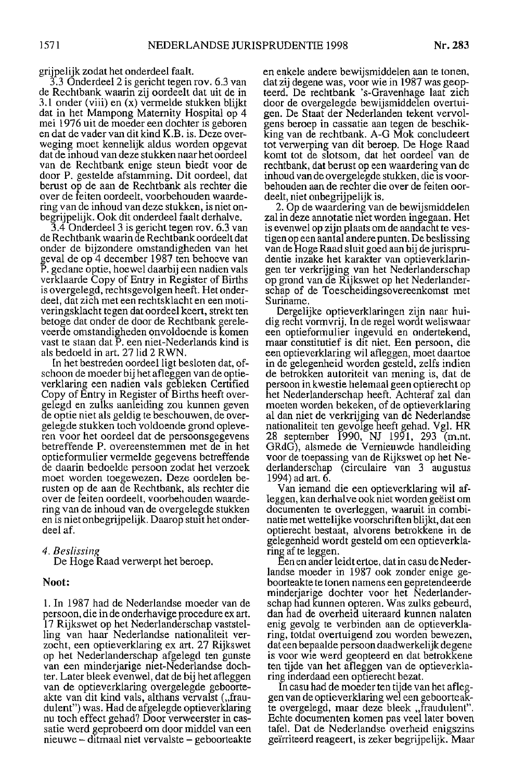grijpelijk zodat het onderdeel faalt.

3.3 Onderdeel 2 is gericht tegen rov. 6.3 van de Rechtbank waarin zij oordeelt dat uit de in 3.1 onder (viii) en (x) vermelde stukken blijkt dat in het Mampong Maternity Hospital op 4 mei 1976 uit de moeder een dochter is geboren en dat de vader van dit kind K.B. is. Deze overweging moet kennelijk aldus worden opgevat dat de inhoud van deze stukken naar het oordeel van de Rechtbank enige steun biedt voor de door P. gestelde afstamming. Dit oordeel, dat berust op de aan de Rechtbank als rechter die over de feiten oordeelt, voorbehouden waardering van de inhoud van deze stukken, is niet onbegrijpelijk. Ook dit onderdeel faalt derhalve.

3.4 Onderdeel 3 is gericht tegen rov. 6.3 van de Rechtbank waarin de Rechtbank oordeelt dat onder de bijzondere omstandigheden van het geval de op 4 december 1987 ten behoeve van P. gedane optie, hoewel daarbij een nadien vals verklaarde Copy of Entry in Register of Births is overgelegd, rechtsgevolgen heeft. Het onderdeel, dat zich met een rechtsklacht en een motiveringsklacht tegen dat oordeel keert, strekt ten betoge dat onder de door de Rechtbank gereleveerde omstandigheden onvoldoende is komen vast te staan dat P, een niet-Nederlands kind is als bedoeld in art. 27 lid 2 RWN.

In het bestreden oordeel ligt besloten dat, ofschoon de moeder bij het afleggen van de optieverklaring een nadien vals gebleken Certified Copy of Entry in Register of Births heeft overgelegd en zulks aanleiding zou kunnen geven de optie niet als geldig te beschouwen, de overgelegde stukken toch voldoende grond opleveren voor het oordeel dat de persoonsgegevens betreffende P. overeenstemmen met de in het optieformulier vermelde gegevens betreffende de daarin bedoelde persoon zodat het verzoek moet worden toegewezen. Deze oordelen berusten op de aan de Rechtbank, als rechter die over de feiten oordeelt, voorbehouden waardering van de inhoud van de overgelegde stukken en is niet onbegrijpelijk. Daarop stuit het onderdeel af.

4. Beslissing

De Hoge Raad verwerpt het beroep.

# Noot:

1. In 1987 had de Nederlandse moeder van de persoon, die in de onderhavige procedure ex art. 17 Rijkswet op het Nederlanderschap vaststelling van haar Nederlandse nationaliteit verzocht, een optieverklaring ex art. 27 Rijkswet op het Nederlanderschap afgelegd ten gunste van een minderjarige niet-Nederlandse dochter. Later bleek evenwel, dat de bij het afleggen van de optieverklaring overgelegde geboorteakte van dit kind vals, althans vervalst ("fraudulent") was. Had de afgelegde optieverklaring nu toch effect gehad? Door verweerster in cassatie werd geprobeerd om door middel van een nieuwe – ditmaal niet vervalste – geboorteakte en enkele andere bewijsmiddelen aan te tonen, dat zij degene was, voor wie in 1987 was geopteerd. De rechtbank 's-Gravenhage laat zich door de overgelegde bewijsmiddelen overtuigen. De Staat der Nederlanden tekent vervolgens beroep in cassatie aan tegen de beschikking van de rechtbank. A-G Mok concludeert tot verwerping van dit beroep. De Hoge Raad komt tot de slotsom, dat het oordeel van de rechtbank, dat berust op een waardering van de inhoud van de overgelegde stukken, die is voorbehouden aan de rechter die over de feiten oordeelt, niet onbegrijpelijk is.

2. Op de waardering van de bewijsmiddelen zal in deze annotatie niet worden ingegaan. Het is evenwel op zijn plaats om de aandacht te vestigen op een aantal andere punten. De beslissing van de Hoge Raad sluit goed aan bij de jurisprudentie inzake het karakter van optieverklaringen ter verkrijging van het Nederlanderschap op grond van de Rijkswet op het Nederlanderschap of de Toescheidingsovereenkomst met Suriname

Dergelijke optieverklaringen zijn naar huidig recht vormvrij. In de regel wordt weliswaar een optieformulier ingevuld en ondertekend, maar constitutief is dit niet. Een persoon, die een optieverklaring wil afleggen, moet daartoe in de gelegenheid worden gesteld, zelfs indien de betrokken autoriteit van mening is, dat de persoon in kwestie helemaal geen optierecht op het Nederlanderschap heeft. Achteraf zal dan moeten worden bekeken, of de optieverklaring al dan niet de verkrijging van de Nederlandse nationaliteit ten gevolge heeft gehad. Vgl. HR<br>28 september 1990, NJ 1991, 293 (m.nt.<br>GRdG), alsmede de Vernieuwde handleiding voor de toepassing van de Rijkswet op het Nederlanderschap (circulaire van 3 augustus 1994) ad art. 6

Van iemand die een optieverklaring wil afleggen, kan derhalve ook niet worden geëist om documenten te overleggen, waaruit in combinatie met wettelijke voorschriften blijkt, dat een optierecht bestaat, alvorens betrokkene in de gelegenheid wordt gesteld om een optieverklaring af te leggen.

Een en ander leidt ertoe, dat in casu de Nederlandse moeder in 1987 ook zonder enige geboorteakte te tonen namens een gepretendeerde minderjarige dochter voor het Nederlanderschap had kunnen opteren. Was zulks gebeurd, dan had de overheid uiteraard kunnen nalaten enig gevolg te verbinden aan de optieverklaring, totdat overtuigend zou worden bewezen, dat een bepaalde persoon daadwerkelijk degene is voor wie werd geopteerd en dat betrokkene ten tijde van het afleggen van de optieverklaring inderdaad een optierecht bezat.

In casu had de moeder ten tijde van het afleggen van de optieverklaring wel een geboorteakte overgelegd, maar deze bleek, fraudulent". Echte documenten komen pas veel later boven tafel. Dat de Nederlandse overheid enigszins geïrriteerd reageert, is zeker begrijpelijk. Maar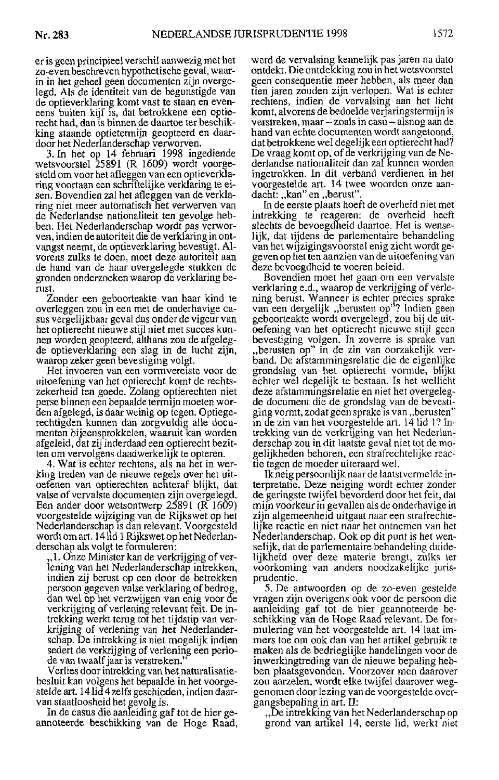er is geen principieel verschil aanwezig met het zo-even beschreven hypothetische geval, waarin in het geheel geen documenten zijn overgelegd. Als de identiteit van de begunstigde van de optieverklaring komt vast te staan en eveneens buiten kijf is, dat betrokkene een optierecht had, dan is binnen de daartoe ter beschikking staande optietermijn geopteerd en daardoor het Nederlanderschap verworven.

3. In het op 14 februari 1998 ingediende<br>wetsvoorstel 25891 (R 1609) wordt voorgesteld om voor het afleggen van een optieverklaring voortaan een schriftelijke verklaring te eisen. Bovendien zal het afleggen van de verklaring niet meer automatisch het verwerven van de Nederlandse nationaliteit ten gevolge hebben. Het Nederlanderschap wordt pas verworven, indien de autoriteit die de verklaring in ontvangst neemt, de optieverklaring bevestigt. Alvorens zulks te doen, moet deze autoriteit aan de hand van de haar overgelegde stukken de gronden onderzoeken waarop de verklaring berust.

Zonder een geboorteakte van haar kind te overleggen zou in een met de onderhavige casus vergelijkbaar geval dus onder de vigeur van het optierecht nieuwe stijl niet met succes kunnen worden geopteerd, althans zou de afgelegde optieverklaring een slag in de lucht zijn, waarop zeker geen bevestiging volgt.

Het invoeren van een vormvereiste voor de uitoefening van het optierecht komt de rechtszekerheid ten goede. Zolang optierechten niet perse binnen een bepaalde termijn moeten worden afgelegd, is daar weinig op tegen. Optiegerechtigden kunnen dan zorgvuldig alle documenten bijeensprokkelen, waaruit kan worden afgeleid, dat zij inderdaad een optierecht bezitten om vervolgens daadwerkelijk te opteren.

4. Wat is echter rechtens, als na het in werking treden van de nieuwe regels over het uitoefenen van optierechten achteraf blijkt, dat valse of vervalste documenten zijn overgelegd. Een ander door wetsontwerp  $25891$  ( $\overline{R}$  1609) voorgestelde wijziging van de Rijkswet op het Nederlanderschap is dan relevant. Voorgesteld wordt om art. 14 lid 1 Rijkswet op het Nederlanderschap als volgt te formuleren.

"1. Onze Minister kan de verkrijging of verlening van het Nederlanderschap intrekken, indien zij berust op een door de betrokken persoon gegeven valse verklaring of bedrog, dan wel op het verzwijgen van enig voor de verkrijging of verlening relevant feit. De intrekking werkt terug tot het tijdstip van verkrijging of verlening van het Nederlanderschap. De intrekking is niet mogelijk indien sedert de verkrijging of verlening een periode van twaalf jaar is verstreken.

Verlies door intrekking van het naturalisatiebesluit kan volgens het bepaalde in het voorgestelde art. 14 lid 4 zelfs geschieden, indien daarvan staatloosheid het gevolg is.

In de casus die aanleiding gaf tot de hier geannoteerde beschikking van de Hoge Raad, werd de vervalsing kennelijk pas jaren na dato ontdekt. Die ontdekking zou in het wetsvoorstel geen consequentie meer hebben, als meer dan tien jaren zouden zijn verlopen. Wat is echter rechtens, indien de vervalsing aan het licht komt, alvorens de bedoelde verjaringstermijn is verstreken, maar - zoals in casu - alsnog aan de hand van echte documenten wordt aangetoond, dat betrokkene wel degelijk een optierecht had? De vraag komt op, of de verkrijging van de Nederlandse nationaliteit dan zal kunnen worden ingetrokken. In dit verband verdienen in het voorgestelde art. 14 twee woorden onze aandacht: "kan" en "berust"

In de eerste plaats hoeft de overheid niet met intrekking te reageren: de overheid heeft slechts de bevoegdheid daartoe. Het is wenselijk, dat tijdens de parlementaire behandeling van het wijzigingsvoorstel enig zicht wordt gegeven op het ten aanzien van de uitoefening van deze bevoegdheid te voeren beleid.

Bovendien moet het gaan om een vervalste verklaring e.d., waarop de verkrijging of verlening berust. Wanneer is echter precies sprake<br>van een dergelijk "berusten op"? Indien geen geboorteakte wordt overgelegd, zou bij de uitoefening van het optierecht nieuwe stijl geen bevestiging volgen. In zoverre is sprake van "berusten op" in de zin van oorzakelijk verband. De afstammingsrelatie die de eigenlijke grondslag van het optierecht vormde, blijkt echter wel degelijk te bestaan. Is het wellicht deze afstammingsrelatie en niet het overgelegde document die de grondslag van de bevestiging vormt, zodat geen sprake is van, berusten" in de zin van het voorgestelde art. 14 lid 1? Intrekking van de verkrijging van het Nederlanderschap zou in dit laatste geval niet tot de mogelijkheden behoren, een strafrechtelijke reactie tegen de moeder uiteraard wel.

Ik neig persoonlijk naar de laatstvermelde interpretatie. Deze neiging wordt echter zonder de geringste twijfel bevorderd door het feit, dat mijn voorkeur in gevallen als de onderhavige in zijn algemeenheid uitgaat naar een strafrechtelijke reactie en niet naar het ontnemen van het Nederlanderschap. Ook op dit punt is het wenselijk, dat de parlementaire behandeling duidelijkheid over deze materie brengt, zulks ter voorkoming van anders noodzakelijke jurisprudentie.

5. De antwoorden op de zo-even gestelde vragen zijn overigens ook voor de persoon die aanleiding gaf tot de hier geannoteerde beschikking van de Hoge Raad relevant. De formulering van het voorgestelde art. 14 laat immers toe om ook dan van het artikel gebruik te maken als de bedrieglijke handelingen voor de inwerkingtreding van de nieuwe bepaling hebben plaatsgevonden. Voorzover men daarover zou aarzelen, wordt elke twijfel daarover weggenomen door lezing van de voorgestelde overgangsbepaling in art. II:

"De intrekking van het Nederlanderschap op grond van artikel 14, eerste lid, werkt niet